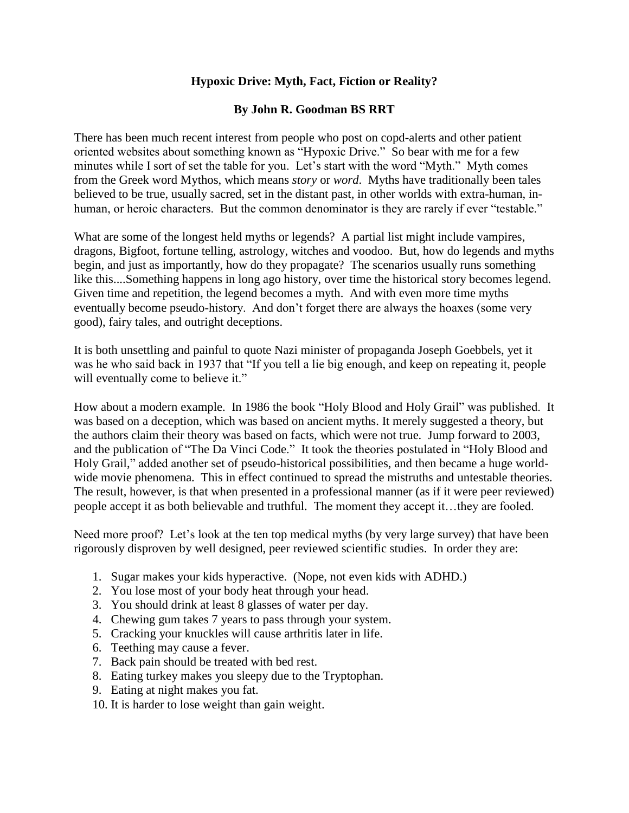## **Hypoxic Drive: Myth, Fact, Fiction or Reality?**

## **By John R. Goodman BS RRT**

There has been much recent interest from people who post on copd-alerts and other patient oriented websites about something known as "Hypoxic Drive." So bear with me for a few minutes while I sort of set the table for you. Let's start with the word "Myth." Myth comes from the Greek word Mythos, which means *story* or *word*. Myths have traditionally been tales believed to be true, usually sacred, set in the distant past, in other worlds with extra-human, inhuman, or heroic characters. But the common denominator is they are rarely if ever "testable."

What are some of the longest held myths or legends? A partial list might include vampires, dragons, Bigfoot, fortune telling, astrology, witches and voodoo. But, how do legends and myths begin, and just as importantly, how do they propagate? The scenarios usually runs something like this....Something happens in long ago history, over time the historical story becomes legend. Given time and repetition, the legend becomes a myth. And with even more time myths eventually become pseudo-history. And don't forget there are always the hoaxes (some very good), fairy tales, and outright deceptions.

It is both unsettling and painful to quote Nazi minister of propaganda Joseph Goebbels, yet it was he who said back in 1937 that "If you tell a lie big enough, and keep on repeating it, people will eventually come to believe it."

How about a modern example. In 1986 the book "Holy Blood and Holy Grail" was published. It was based on a deception, which was based on ancient myths. It merely suggested a theory, but the authors claim their theory was based on facts, which were not true. Jump forward to 2003, and the publication of "The Da Vinci Code." It took the theories postulated in "Holy Blood and Holy Grail," added another set of pseudo-historical possibilities, and then became a huge worldwide movie phenomena. This in effect continued to spread the mistruths and untestable theories. The result, however, is that when presented in a professional manner (as if it were peer reviewed) people accept it as both believable and truthful. The moment they accept it…they are fooled.

Need more proof? Let's look at the ten top medical myths (by very large survey) that have been rigorously disproven by well designed, peer reviewed scientific studies. In order they are:

- 1. Sugar makes your kids hyperactive. (Nope, not even kids with ADHD.)
- 2. You lose most of your body heat through your head.
- 3. You should drink at least 8 glasses of water per day.
- 4. Chewing gum takes 7 years to pass through your system.
- 5. Cracking your knuckles will cause arthritis later in life.
- 6. Teething may cause a fever.
- 7. Back pain should be treated with bed rest.
- 8. Eating turkey makes you sleepy due to the Tryptophan.
- 9. Eating at night makes you fat.
- 10. It is harder to lose weight than gain weight.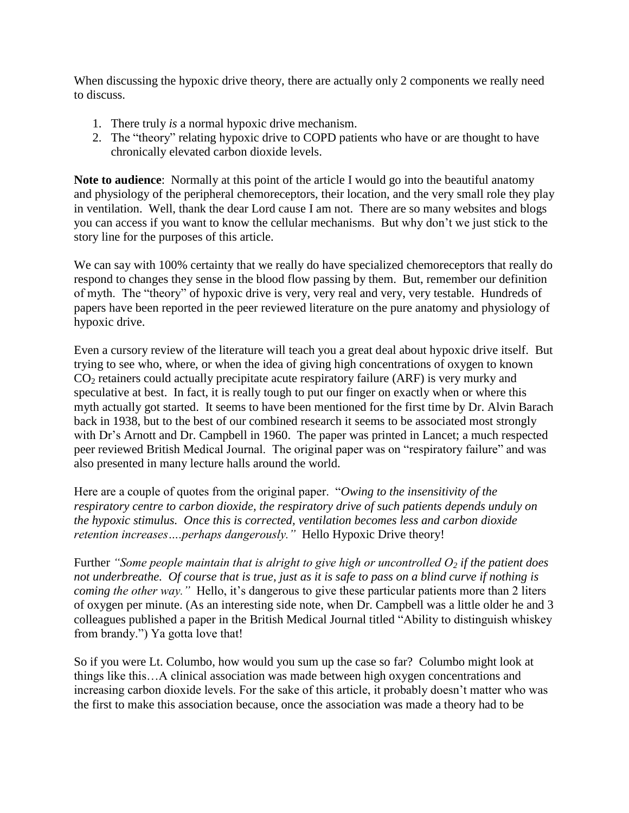When discussing the hypoxic drive theory, there are actually only 2 components we really need to discuss.

- 1. There truly *is* a normal hypoxic drive mechanism.
- 2. The "theory" relating hypoxic drive to COPD patients who have or are thought to have chronically elevated carbon dioxide levels.

**Note to audience**: Normally at this point of the article I would go into the beautiful anatomy and physiology of the peripheral chemoreceptors, their location, and the very small role they play in ventilation. Well, thank the dear Lord cause I am not. There are so many websites and blogs you can access if you want to know the cellular mechanisms. But why don't we just stick to the story line for the purposes of this article.

We can say with 100% certainty that we really do have specialized chemoreceptors that really do respond to changes they sense in the blood flow passing by them. But, remember our definition of myth. The "theory" of hypoxic drive is very, very real and very, very testable. Hundreds of papers have been reported in the peer reviewed literature on the pure anatomy and physiology of hypoxic drive.

Even a cursory review of the literature will teach you a great deal about hypoxic drive itself. But trying to see who, where, or when the idea of giving high concentrations of oxygen to known  $CO<sub>2</sub>$  retainers could actually precipitate acute respiratory failure (ARF) is very murky and speculative at best. In fact, it is really tough to put our finger on exactly when or where this myth actually got started. It seems to have been mentioned for the first time by Dr. Alvin Barach back in 1938, but to the best of our combined research it seems to be associated most strongly with Dr's Arnott and Dr. Campbell in 1960. The paper was printed in Lancet; a much respected peer reviewed British Medical Journal. The original paper was on "respiratory failure" and was also presented in many lecture halls around the world.

Here are a couple of quotes from the original paper. "*Owing to the insensitivity of the respiratory centre to carbon dioxide, the respiratory drive of such patients depends unduly on the hypoxic stimulus. Once this is corrected, ventilation becomes less and carbon dioxide retention increases….perhaps dangerously."* Hello Hypoxic Drive theory!

Further *"Some people maintain that is alright to give high or uncontrolled O<sup>2</sup> if the patient does not underbreathe. Of course that is true, just as it is safe to pass on a blind curve if nothing is coming the other way.*" Hello, it's dangerous to give these particular patients more than 2 liters of oxygen per minute. (As an interesting side note, when Dr. Campbell was a little older he and 3 colleagues published a paper in the British Medical Journal titled "Ability to distinguish whiskey from brandy.") Ya gotta love that!

So if you were Lt. Columbo, how would you sum up the case so far? Columbo might look at things like this…A clinical association was made between high oxygen concentrations and increasing carbon dioxide levels. For the sake of this article, it probably doesn't matter who was the first to make this association because, once the association was made a theory had to be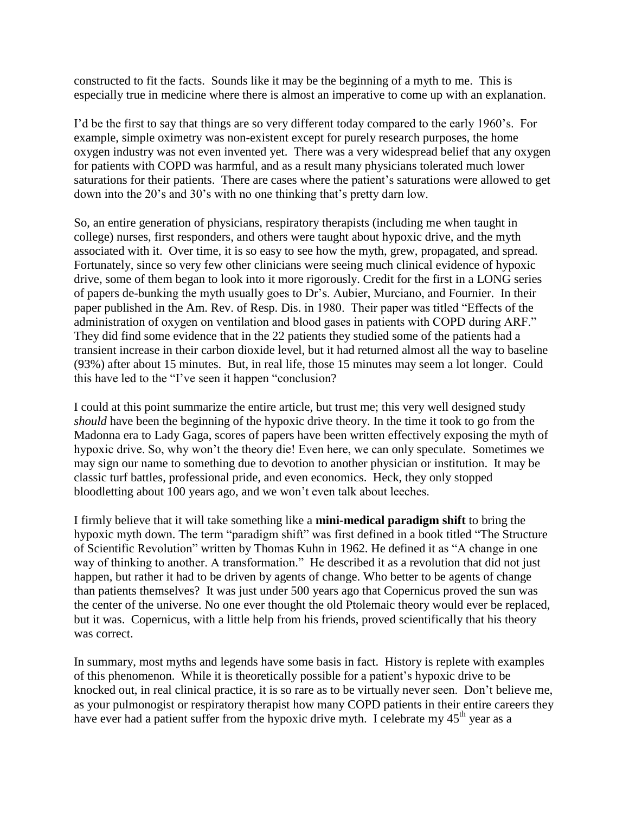constructed to fit the facts. Sounds like it may be the beginning of a myth to me. This is especially true in medicine where there is almost an imperative to come up with an explanation.

I'd be the first to say that things are so very different today compared to the early 1960's. For example, simple oximetry was non-existent except for purely research purposes, the home oxygen industry was not even invented yet. There was a very widespread belief that any oxygen for patients with COPD was harmful, and as a result many physicians tolerated much lower saturations for their patients. There are cases where the patient's saturations were allowed to get down into the 20's and 30's with no one thinking that's pretty darn low.

So, an entire generation of physicians, respiratory therapists (including me when taught in college) nurses, first responders, and others were taught about hypoxic drive, and the myth associated with it. Over time, it is so easy to see how the myth, grew, propagated, and spread. Fortunately, since so very few other clinicians were seeing much clinical evidence of hypoxic drive, some of them began to look into it more rigorously. Credit for the first in a LONG series of papers de-bunking the myth usually goes to Dr's. Aubier, Murciano, and Fournier. In their paper published in the Am. Rev. of Resp. Dis. in 1980. Their paper was titled "Effects of the administration of oxygen on ventilation and blood gases in patients with COPD during ARF." They did find some evidence that in the 22 patients they studied some of the patients had a transient increase in their carbon dioxide level, but it had returned almost all the way to baseline (93%) after about 15 minutes. But, in real life, those 15 minutes may seem a lot longer. Could this have led to the "I've seen it happen "conclusion?

I could at this point summarize the entire article, but trust me; this very well designed study *should* have been the beginning of the hypoxic drive theory. In the time it took to go from the Madonna era to Lady Gaga, scores of papers have been written effectively exposing the myth of hypoxic drive. So, why won't the theory die! Even here, we can only speculate. Sometimes we may sign our name to something due to devotion to another physician or institution. It may be classic turf battles, professional pride, and even economics. Heck, they only stopped bloodletting about 100 years ago, and we won't even talk about leeches.

I firmly believe that it will take something like a **mini-medical paradigm shift** to bring the hypoxic myth down. The term "paradigm shift" was first defined in a book titled "The Structure of Scientific Revolution" written by Thomas Kuhn in 1962. He defined it as "A change in one way of thinking to another. A transformation." He described it as a revolution that did not just happen, but rather it had to be driven by agents of change. Who better to be agents of change than patients themselves? It was just under 500 years ago that Copernicus proved the sun was the center of the universe. No one ever thought the old Ptolemaic theory would ever be replaced, but it was. Copernicus, with a little help from his friends, proved scientifically that his theory was correct.

In summary, most myths and legends have some basis in fact. History is replete with examples of this phenomenon. While it is theoretically possible for a patient's hypoxic drive to be knocked out, in real clinical practice, it is so rare as to be virtually never seen. Don't believe me, as your pulmonogist or respiratory therapist how many COPD patients in their entire careers they have ever had a patient suffer from the hypoxic drive myth. I celebrate my  $45<sup>th</sup>$  year as a